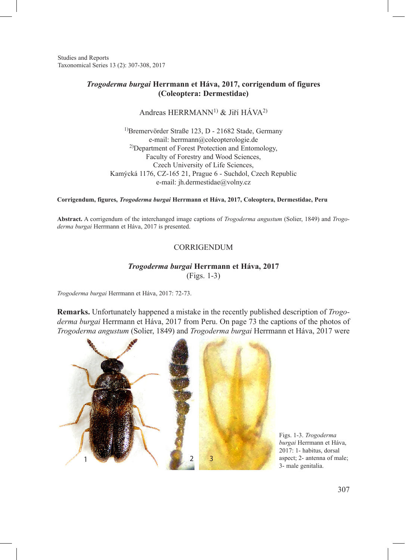Studies and Reports Taxonomical Series 13 (2): 307-308, 2017

## *Trogoderma burgai* **Herrmann et Háva, 2017, corrigendum of figures (Coleoptera: Dermestidae)**

Andreas HERRMANN<sup>1)</sup> & Jiří HÁVA<sup>2)</sup>

1)Bremervörder Straße 123, D - 21682 Stade, Germany e-mail: herrmann@coleopterologie.de 2)Department of Forest Protection and Entomology, Faculty of Forestry and Wood Sciences, Czech University of Life Sciences, Kamýcká 1176, CZ-165 21, Prague 6 - Suchdol, Czech Republic e-mail: jh.dermestidae@volny.cz

**Corrigendum, figures,** *Trogoderma burgai* **Herrmann et Háva, 2017, Coleoptera, Dermestidae, Peru**

**Abstract.** A corrigendum of the interchanged image captions of *Trogoderma angustum* (Solier, 1849) and *Trogoderma burgai* Herrmann et Háva, 2017 is presented.

## CORRIGENDUM

## *Trogoderma burgai* **Herrmann et Háva, 2017**

(Figs. 1-3)

*Trogoderma burgai* Herrmann et Háva, 2017: 72-73.

**Remarks.** Unfortunately happened a mistake in the recently published description of *Trogoderma burgai* Herrmann et Háva, 2017 from Peru. On page 73 the captions of the photos of *Trogoderma angustum* (Solier, 1849) and *Trogoderma burgai* Herrmann et Háva, 2017 were



Figs. 1-3. *Trogoderma burgai* Herrmann et Háva, 2017: 1- habitus, dorsal aspect; 2- antenna of male; 3- male genitalia.